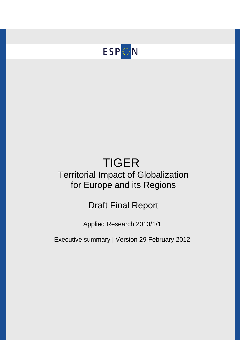

# TIGER Territorial Impact of Globalization for Europe and its Regions

## Draft Final Report

Applied Research 2013/1/1

Executive summary | Version 29 February 2012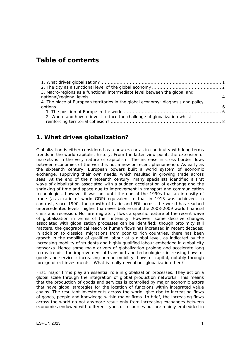## **Table of contents**

| 3. Macro-regions as a functional intermediate level between the global and       |  |
|----------------------------------------------------------------------------------|--|
|                                                                                  |  |
| 4. The place of European territories in the global economy: diagnosis and policy |  |
|                                                                                  |  |
|                                                                                  |  |
| 2. Where and how to invest to face the challenge of globalization whilst         |  |
|                                                                                  |  |

### **1. What drives globalization?**

Globalization is either considered as a new era or as in continuity with long terms trends in the world capitalist history. From the latter view point, the extension of markets is in the very nature of capitalism. The increase in cross border flows between economies of the world is not a new or recent phenomenon. As early as the sixteenth century, European powers built a world system of economic exchange, supplying their own needs, which resulted in growing trade across seas. At the end of the nineteenth century, many specialists identified a first wave of globalization associated with a sudden acceleration of exchange and the shrinking of time and space due to improvement in transport and communication technologies, however it was not until the end of the 1990s that an intensity of trade (as a ratio of world GDP) equivalent to that in 1913 was achieved. In contrast, since 1990, the growth of trade and FDI across the world has reached unprecedented levels, higher than ever before until the 2008-2009 world financial crisis and recession. Nor are migratory flows a specific feature of the recent wave of globalization in terms of their intensity. However, some decisive changes associated with globalization processes can be identified: though proximity still matters, the geographical reach of human flows has increased in recent decades; in addition to classical migrations from poor to rich countries, there has been growth in the mobility of qualified labour at a global level, as indicated by the increasing mobility of students and highly qualified labour embedded in global city networks. Hence some main drivers of globalization prolong and accelerate long terms trends: the improvement of transport and technologies; increasing flows of goods and services; increasing human mobility; flows of capital, notably through foreign direct investments. What is really new about globalization then?

First, major firms play an essential role in globalization processes. They act on a global scale through the integration of global production networks. This means that the production of goods and services is controlled by major economic actors that have global strategies for the location of functions within integrated value chains. The resultant investments across the world, give rise to increasing flows of goods, people and knowledge within major firms. In brief, the increasing flows across the world do not anymore result only from increasing exchanges between economies endowed with different types of resources but are mainly embedded in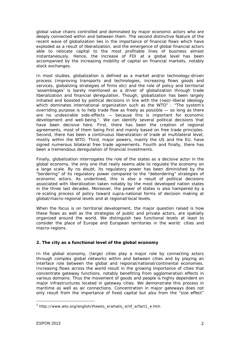global value chains controlled and dominated by major economic actors who are deeply connected within and between them. The second distinctive feature of the recent wave of globalization lies in the importance of financial flows which have exploded as a result of liberalization, and the emergence of global financial actors able to relocate capital to the most profitable lines of business almost instantaneously. Hence, the increase of FDI at a global level has been accompanied by the increasing mobility of capital on financial markets, notably stock exchanges.

In most studies, globalization is defined as a market and/or technology-driven process (improving transports and technologies, increasing flows goods and services, globalizing strategies of firms etc) and the role of policy and territorial 'assemblages' is barely mentioned as a driver of globalization through trade liberalization and financial deregulation. Though, globalization has been largely initiated and boosted by political decisions in line with the (neo)-liberal ideology which dominates international organization such as the WTO $1$ : "The system's overriding purpose is to help trade flow as freely as possible  $-$  so long as there are no undesirable side-effects — because this is important for economic development and well-being.". We can identify several political decisions that have been decisive here. First, there has been the creation of regional agreements, most of them being first and mainly based on free trade principles. Second, there has been a continuous liberalization of trade at multilateral level, mostly within the WTO. Third, major powers, mainly the US and the EU, have signed numerous bilateral free trade agreements. Fourth and finally, there has been a tremendous deregulation of financial investments.

Finally, globalization interrogates the role of the states as a decisive actor in the global economy, the only one that really seems able to regulate the economy on a large scale. By no doubt, its regulatory power has been diminished by the "bordering" of its regulatory power compared to the "debordering" strategies of economic actors. As underlined, this is also a result of political decisions associated with liberalization taken notably by the most developed nation states in the three last decades. Moreover, the power of states is also hampered by a re-scaling process of policy toward supra-national forms of decision making at global/macro-regional levels and at regional/local levels.

When the focus is on territorial development, the major question raised is how these flows as well as the strategies of public and private actors, are spatially organized around the world. We distinguish two functional levels at least to consider the place of Europe and European territories in the world: *cities* and *macro-regions*.

#### **2. The city as a functional level of the global economy**

In the global economy, (large) cities play a major role by connecting actors through complex global networks within and between cities and by playing an interface role between the global and regional/national/continental economies. Increasing flows across the world result in the growing importance of cities that concentrate gateway functions, notably benefiting from agglomeration effects in various domains. Thus the movement of goods and people is highly dependent on major infrastructures located in gateway cities. We demonstrate this process in maritime as well as air connections. Concentration in major gateways does not only result from the importance of fixed capital but also from the "size effect"

 $\overline{a}$ 

<sup>&</sup>lt;sup>1</sup> http://www.wto.org/english/thewto\_e/whatis\_e/tif\_e/fact1\_e.htm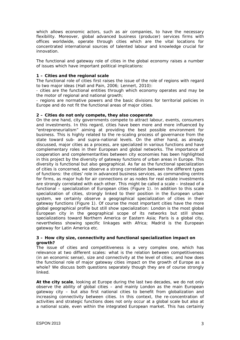which allows economic actors, such as air companies, to have the necessary flexibility. Moreover, global advanced business (producer) services firms with offices worldwide, operate through cities which are the vital locations for concentrated international sources of talented labour and knowledge crucial for innovation.

The functional and gateway role of cities in the global economy raises a number of issues which have important political implications:

#### **1 – Cities and the regional scale**

The functional role of cities first raises the issue of the role of regions with regard to two major ideas (Hall and Pain, 2006; Lennert, 2010):

- cities are the functional entities through which economy operates and may be the motor of regional and national growth;

- regions are normative powers and the basic divisions for territorial policies in Europe and do not fit the functional areas of major cities.

#### **2 – Cities do not only compete, they also cooperate**

On the one hand, city governments compete to attract labour, events, consumers and investments. In this regard, cities have been more and more influenced by "entrepreneurialism" aiming at providing the best possible environment for business. This is highly related to the re-scaling process of governance from the state toward sub- and supra-national levels. On the other hand, as already discussed, major cities *as a process*, are specialized in various functions and have complementary roles in their European and global networks. The importance of cooperation and complementarities between city economies has been highlighted in this project by the diversity of gateway functions of urban areas in Europe. This diversity is functional but also geographical. As far as the functional specialization of cities is concerned, we observe a strong correlation between the different types of functions: the cities' role in advanced business services, as commanding centre for firms, as major hub for air connections or as nodes for real estate investments are strongly correlated with each other. This might be called a scale – instead of a functional – specialization of European cities (Figure 1). In addition to this scale specialization of cities, strongly linked to their position in the European urban system, we certainly observe a geographical specialization of cities in their gateway functions (Figure 1). Of course the most important cities have the more global geographical profile but still show specialization: London is the most global European city in the geographical scope of its networks but still shows specializations toward Northern America or Eastern Asia; Paris is a global city, nevertheless showing specific linkages with Africa; Madrid is the European gateway for Latin America etc.

#### **3 – How city size, connectivity and functional specialization impact on growth?**

The issue of cities and competitiveness is a very complex one, which has relevance at two different scales: what is the relation between competitiveness (in an economic sense), size and connectivity at the level of cities; and how does the functional role of major gateway cities impact on the growth of Europe as a whole? We discuss both questions separately though they are of course strongly linked.

**At the city scale**, looking at Europe during the last two decades, we do not only observe the ability of global cities – and mainly London as the main European gateway city – but also first national cities to benefit from globalization and increasing connectivity between cities. In this context, the re-concentration of activities and strategic functions does not only occur at a global scale but also at a national scale, even within the integrated European market. This has certainly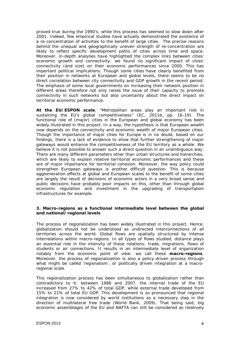proved true during the 1990's, while this process has seemed to slow down after 2001. Indeed, few empirical studies have actually demonstrated the existence of a re-concentration of activities to the benefit of large cities. The precise reasons behind the unequal and geographically uneven strength of re-concentration are likely to reflect specific development paths of cities across time and space. Moreover, in-depth analyses have highlighted the complex links between cities' economic growth and connectivity: we found no significant impact of cities' connectivity (and size) on their economic performances since 2000. This has important political implications. Though some cities have clearly benefited from their position in networks at European and global levels, there seems to be no direct correlation between city connectivity and GDP growth in the recent period. The emphasis of some local governments on increasing their network position in different areas therefore not only raises the issue of their capacity to promote connectivity in such networks but also uncertainty about the direct impact on territorial economic performance.

**At the EU/ESPON scale**, "Metropolitan areas play an important role in sustaining the EU's global competitiveness" (EC, 2011b, pp. 16-19). The functional role of (major) cities in the European and global economy has been widely illustrated in this project. In a way, the hypothesis is that European wealth now depends on the connectivity and economic wealth of major European cities. Though the importance of major cities for Europe is in no doubt, based on our findings, there is a lack of evidence to show that further strengthening of major gateways would enhance the competitiveness of the EU territory as a whole. We believe it is not possible to answer such a direct question in an unambiguous way. There are many different parameters other than urban structures and hierarchies, which are likely to explain relative territorial economic performances and these are of major importance for territorial cohesion. Moreover, the way policy could strengthen European gateways is another difficult question. This is because agglomeration effects at global and European scales to the benefit of some cities are largely the result of decisions of economic actors in a very broad sense and public decisions have probably poor impacts on this, other than through global economic regulation and investment in the upgrading of transportation infrastructures for example.

#### **3. Macro-regions as a functional intermediate level between the global and national/regional levels**

The process of regionalization has been widely illustrated in this project. Hence, globalization should not be understood as undirected interconnections of all territories across the world. Global flows are spatially structured by intense interrelations within macro-regions. In all types of flows studied, distance plays an essential role in the intensity of these relations: trade, migrations, flows of students or air connections. It results in an intermediate level of organization notably from the economic point of view: we call these **macro-regions**. Moreover, the process of regionalization is also a policy-driven process through what might be called 'regionalism', or politically driven integration at a macroregional scale.

This regionalization process has been simultaneous to globalization rather than contradictory to it: between 1986 and 2007, the internal trade of the EU increased from 27% to 42% of total GDP, while external trade developed from 15% to 21% of total EU GDP. This development is so pronounced that regional integration is now considered by world institutions as a necessary step in the direction of multilateral free trade (World Bank, 2009). That being said, big economic assemblages of the EU and NAFTA can still be considered as relatively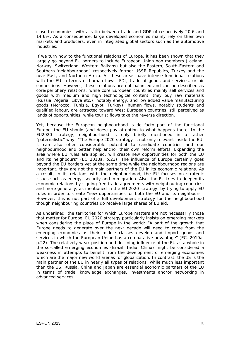closed economies, with a ratio between trade and GDP of respectively 20.6 and 14.6%. As a consequence, large developed economies mainly rely on their own markets and producers, even in integrated global sectors such as the automotive industries.

If we turn now to the functional relations of Europe, it has been shown that they largely go beyond EU borders to include European Union non members (Iceland, Norway, Switzerland, Western Balkans) but also the Eastern, South-Eastern and Southern 'neighbourhood', respectively former USSR Republics, Turkey and the near-East, and Northern Africa. All these areas have intense functional relations with the EU in terms of human flows, FDI, trade of goods and services, or air connections. However, these relations are not balanced and can be described as core/periphery relations: while core European countries mainly sell services and goods with medium and high technological content, they buy raw materials (Russia, Algeria, Libya etc.), notably energy, and low added value manufacturing goods (Morocco, Tunisia, Egypt, Turkey); human flows, notably students and qualified labour, are attracted toward West European countries, still perceived as lands of opportunities, while tourist flows take the reverse direction.

Yet, because the European neighbourhood is *de facto* part of the functional Europe, the EU should (and does) pay attention to what happens there. In the EU2020 strategy, neighbourhood is only briefly mentioned in a rather "paternalistic" way: "The Europe 2020 strategy is not only relevant inside the EU, it can also offer considerable potential to candidate countries and our neighbourhood and better help anchor their own reform efforts. Expanding the area where EU rules are applied, will create new opportunities for both the EU and its neighbours" (EC 2010a, p.23). The influence of Europe certainly goes beyond the EU borders yet at the same time while the neighbourhood regions are important, they are not the main partners of the EU in its economic relations. As a result, in its relations with the neighbourhood, the EU focuses on strategic issues such as energy, security and immigration. Also, the EU tries to deepen its economic relations by signing free trade agreements with neighbouring countries, and more generally, as mentioned in the EU 2020 strategy, by trying to apply EU rules in order to create "new opportunities for both the EU and its neighbours". However, this is not part of a full development strategy for the neighbourhood though neighbouring countries do receive large shares of EU aid.

As underlined, the territories for which Europe matters are not necessarily those that matter for Europe. EU 2020 strategy particularly insists on emerging markets when considering the place of Europe in the world: "A part of the growth that Europe needs to generate over the next decade will need to come from the emerging economies as their middle classes develop and import goods and services in which the European Union has a comparative advantage" (EC, 2010a, p.22). The relatively weak position and declining influence of the EU as a whole in the so-called emerging economies (Brazil, India, China) might be considered a weakness in attempts to benefit from the development of emerging economies which are the major new world arenas for globalization. In contrast, the US is the main partner of the EU in nearly all types of relations; while much less important than the US, Russia, China and Japan are essential economic partners of the EU in terms of trade, knowledge exchanges, investments and/or networking in advanced services.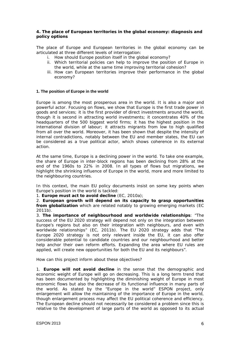#### **4. The place of European territories in the global economy: diagnosis and policy options**

The place of Europe and European territories in the global economy can be articulated at three different levels of interrogation:

- i. How should Europe position itself in the global economy?
- ii. Which territorial policies can help to improve the position of Europe in the world, while at the same time improving territorial cohesion?
- iii. How can European territories improve their performance in the global economy?

#### **1. The position of Europe in the world**

Europe is among the most prosperous area in the world. It is also a major and powerful actor. Focusing on flows, we show that Europe is the first trade power in goods and services; it is the first provider of direct investments around the world, though it is second in attracting world investments; it concentrates 40% of the headquarters of the 500 biggest world firms; it has the highest position in the international division of labour; it attracts migrants from low to high qualified from all over the world. Moreover, it has been shown that despite the intensity of internal contradictions, notably between the EU and member states, the EU can be considered as a true political actor, which shows coherence in its external action.

At the same time, Europe is a declining power in the world. To take one example, the share of Europe in inter-block regions has been declining from 28% at the end of the 1960s to 22% in 2008. In all types of flows but migrations, we highlight the shrinking influence of Europe in the world, more and more limited to the neighbouring countries.

In this context, the main EU policy documents insist on some key points when Europe's position in the world is tackled:

1. **Europe must act to avoid decline** (EC, 2010a);

2. **European growth will depend on its capacity to grasp opportunities from globalization** which are related notably to growing emerging markets (EC 2011b).

3. **The importance of neighbourhood and worldwide relationships**: "The success of the EU 2020 strategy will depend not only on the integration between Europe's regions but also on their integration with neighbours, and even with worldwide relationships" (EC, 2011b). The EU 2020 strategy adds that "The Europe 2020 strategy is not only relevant inside the EU, it can also offer considerable potential to candidate countries and our neighbourhood and better help anchor their own reform efforts. Expanding the area where EU rules are applied, will create new opportunities for both the EU and its neighbours".

How can this project inform about these objectives?

1. **Europe will not avoid decline** in the sense that the demographic and economic weight of Europe will go on decreasing. This is a long term trend that has been documented by highlighting the diminishing weight of Europe in most economic flows but also the decrease of its functional influence in many parts of the world. As stated by the "Europe in the world" ESPON project, only enlargement will allow the maintaining of the importance of Europe in the world, though enlargement process may affect the EU political coherence and efficiency. The European decline should not necessarily be considered a problem since this is relative to the development of large parts of the world as opposed to its actual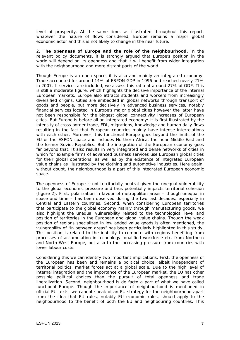level of prosperity. At the same time, as illustrated throughout this report, whatever the nature of flows considered, Europe remains a major global economic actor and this is not likely to change in the near future.

2. T**he openness of Europe and the role of the neighbourhood.** In the relevant policy documents, it is strongly argued that Europe's position in the world will depend on its openness and that it will benefit from wider integration with the neighbourhood and more distant parts of the world.

Though Europe is an open space, it is also and mainly an integrated economy. Trade accounted for around 14% of ESPON GDP in 1996 and reached nearly 21% in 2007. If services are included, we assess this ratio at around 27% of GDP. This is still a moderate figure, which highlights the decisive importance of the internal European markets. Europe also attracts students and workers from increasingly diversified origins. Cities are embedded in global networks through transport of goods and people, but more decisively in advanced business services, notably financial services located in Europe's major global cities however the latter have not been responsible for the biggest global connectivity increases of European cities. But Europe is before all an integrated economy: it is first illustrated by the intensity of cross border trade, FDI, migrations, knowledge and human daily flows resulting in the fact that European countries mainly have intense interrelations with each other. Moreover, this functional Europe goes beyond the limits of the EU or the ESPON space and includes Northern Africa, the near Middle East and the former Soviet Republics. But the integration of the European economy goes far beyond that. It also results in very integrated and dense networks of cities in which for example firms of advanced business services use European global cities for their global operations, as well as by the existence of integrated European value chains as illustrated by the clothing and automotive industries. Here again, without doubt, the neighbourhood is a part of this integrated European economic space.

The openness of Europe is not territorially neutral given the unequal vulnerability to the global economic pressure and thus potentially impacts territorial cohesion (figure 2). First, polarization in favour of metropolitan areas – though unequal in space and time – has been observed during the two last decades, especially in Central and Eastern countries. Second, when considering European territories that participate to the global economy mainly through manufacturing goods, we also highlight the unequal vulnerability related to the technological level and position of territories in the European and global value chains. Though the weak position of regions specialized in low added value goods is often mentioned, the vulnerability of "in between areas" has been particularly highlighted in this study. This position is related to the inability to compete with regions benefiting from processes of accumulation in technology, qualified workforce etc. from Northern and North-West Europe, but also to the increasing pressure from countries with lower labour costs.

Considering this we can identify two important implications. First, the openness of the European has been and remains a political choice, albeit independent of territorial politics, market forces act at a global scale. Due to the high level of internal integration and the importance of the European market, the EU has other possible political choices than the pursuit of total openness and trade liberalization. Second, neighbourhood is *de facto* a part of what we have called functional Europe. Though the importance of neighbourhood is mentioned in official EU texts, we cannot speak of an EU strategy for the neighbourhood apart from the idea that EU rules, notably EU economic rules, should apply to the neighbourhood to the benefit of both the EU and neighbouring countries. This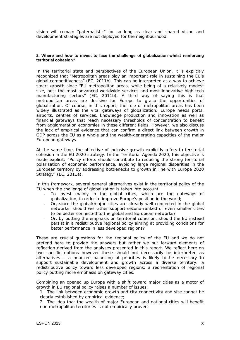vision will remain "paternalistic" for so long as clear and shared vision and development strategies are not deployed for the neighbourhood.

#### **2. Where and how to invest to face the challenge of globalization whilst reinforcing territorial cohesion?**

In the territorial state and perspectives of the European Union, it is explicitly recognized that "Metropolitan areas play an important role in sustaining the EU's global competitiveness" (EC, 2011b). This can be interpreted as a way to achieve smart growth since "EU metropolitan areas, while being of a relatively modest size, host the most advanced worldwide services and most innovative high-tech manufacturing sectors" (EC, 2011b). A third way of saying this is that metropolitan areas are decisive for Europe to grasp the opportunities of globalization. Of course, in this report, the role of metropolitan areas has been widely illustrated as the vital gateways of globalization: Europe needs ports, airports, centres of services, knowledge production and innovation as well as financial gateways that reach necessary thresholds of concentration to benefit from agglomeration economies in these different fields. However, we also discuss the lack of empirical evidence that can confirm a direct link between growth in GDP across the EU as a whole and the wealth-generating capacities of the major European gateways.

At the same time, the objective of inclusive growth explicitly refers to territorial cohesion in the EU 2020 strategy. In the Territorial Agenda 2020, this objective is made explicit: "Policy efforts should contribute to reducing the strong territorial polarisation of economic performance, avoiding large regional disparities in the European territory by addressing bottlenecks to growth in line with Europe 2020 Strategy" (EC, 2011a).

In this framework, several general alternatives exist in the territorial policy of the EU when the challenge of globalization is taken into account:

- To invest mainly in the global cities, which are the gateways of globalization, in order to improve Europe's position in the world;
- Or, since the global/major cities are already well connected in the global networks, should we rather support second-ranked or even smaller cities to be better connected to the global and European networks?
- Or, by putting the emphasis on territorial cohesion, should the EU instead persist in a redistributive regional policy aiming at providing conditions for better performance in less developed regions?

These are crucial questions for the regional policy of the EU and we do not pretend here to provide the answers but rather we put forward elements of reflection derived from the analyses presented in this report. We reflect here on two specific options however these should not necessarily be interpreted as alternatives – a nuanced balancing of priorities is likely to be necessary to support sustainable development and growth across a diverse territory: a redistributive policy toward less developed regions; a reorientation of regional policy putting more emphasis on gateway cities.

Combining an opened up Europe with a shift toward major cities as a motor of growth in EU regional policy raises a number of issues:

1. The link between economic growth and city connectivity and size cannot be clearly established by empirical evidence;

2. The idea that the wealth of major European and national cities will benefit non metropolitan territories is not empirically proven;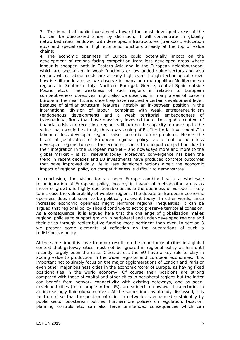3. The impact of public investments toward the most developed areas of the EU can be questioned since, by definition, it will concentrate in globally networked cities, endowed with developed infrastructures (transport, education etc.) and specialized in high economic functions already at the top of value chains;

4. The economic openness of Europe could potentially impact on the development of regions facing competition from less developed areas where labour is cheaper, both in Eastern Asia and in the European neighbourhood, which are specialized in weak functions or low added value sectors and also regions where labour costs are already high even though technological knowhow is still moderate, as we observe in many non metropolitan Mediterranean regions (in Southern Italy, Northern Portugal, Greece, central Spain outside Madrid etc.). The weakness of such regions in relation to European competitiveness objectives might also be observed in many areas of Eastern Europe in the near future, once they have reached a certain development level, because of similar structural features, notably an in-between position in the international division of labour, combined with weak entrepreneurialism (endogenous development) and a weak territorial embeddedness of transnational firms that have massively invested there. In a global context of financial crisis and recession, regions still lacking the capacity to move up in the value chain would be at risk, thus a weakening of EU "territorial investments" in favour of less developed regions raises potential future problems. Hence, the historical justification of European regional policy, as a tool to help less developed regions to resist the economic shock to unequal competition due to their integration in the European market – and nowadays more and more to the global market – is still relevant today. Moreover, convergence has been the trend in recent decades and EU investments have produced concrete outcomes that have improved daily life in less developed regions albeit the economic impact of regional policy on competitiveness is difficult to demonstrate.

In conclusion, the vision for an open Europe combined with a wholesale reconfiguration of European policy, notably in favour of metropolitan areas as motor of growth, is highly questionable because the openness of Europe is likely to increase the vulnerability of weaker regions. The debate on European economic openness does not seem to be politically relevant today. In other words, since increased economic openness might reinforce regional inequalities, it can be argued that regional policy should continue to act to preserve territorial cohesion. As a consequence, it is argued here that the challenge of globalization makes regional policies to support growth in peripheral and under-developed regions and their cities through redistributive funding more pertinent than ever. In section 3 we present some elements of reflection on the orientations of such a redistributive policy.

At the same time it is clear from our results on the importance of cities in a global context that gateway cities must not be ignored in regional policy as has until recently largely been the case. Cities across the EU have a key role to play in adding value to production in the wider regional and European economies. It is important not to simply focus on the major agglomerations of London and Paris or even other major business cities in the economic 'core' of Europe, as having fixed positionalities in the world economy. Of course their positions are strong compared with those of capital and other cities in peripheral regions but the latter can benefit from network connectivity with existing gateways, and as seen, developed cities (for example in the US), are subject to downward trajectories in an increasingly fluid global context. At the same time, as already discussed, it is far from clear that the position of cities in networks is enhanced sustainably by public sector boosterism policies. Furthermore policies on regulation, taxation, planning controls etc. can also have unintended consequences which can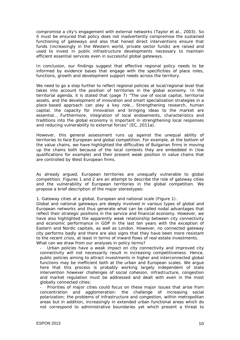compromise a city's engagement with external networks (Taylor *et al.,* 2003). So it must be ensured that policy does not inadvertently compromise the sustained functioning of gateways and also that honed direct interventions ensure that funds (increasingly in the Western world, private sector funds) are raised and used to invest in public infrastructure developments necessary to maintain efficient essential services even in successful global gateways.

In conclusion, our findings suggest that effective regional policy needs to be informed by evidence bases that engage with the specificities of place roles, functions, growth and development support needs across the territory.

We need to go a step further to reflect regional policies at local/regional level that takes into account the position of territories in the global economy. In the territorial agenda, it is stated that (page 7) "The use of social capital, territorial assets, and the development of innovation and smart specialisation strategies in a place-based approach can play a key role… Strengthening research, human capital, the capacity for innovation and bringing ideas to the market are essential… Furthermore, integration of local endowments, characteristics and traditions into the global economy is important in strengthening local responses and reducing vulnerability to external forces" (EC, 2011a).

However, this general assessment runs up against the unequal ability of territories to face European and global competition. For example, at the bottom of the value chains, we have highlighted the difficulties of Bulgarian firms in moving up the chains both because of the local contexts they are embedded in (low qualifications for example) and their present weak position in value chains that are controlled by West European firms.

As already argued, European territories are unequally vulnerable to global competition. Figures 1 and 2 are an attempt to describe the role of gateway cities and the vulnerability of European territories in the global competition. We propose a brief description of the major stereotypes:

1. *Gateway cities at a global, European and national scale (Figure 1).* 

Global and national gateways are deeply involved in various types of global and European networks and thus generate what can be called nodal advantages that reflect their strategic positions in the service and financial economy. However, we have also highlighted the apparently weak relationship between city connectivity and economic performance in GDP in the last ten years with the exception of Eastern and Nordic capitals, as well as London. However, no connected gateway city performs badly and there are also signs that they have been more resistant to the recent crisis, at least in terms of inward flows of real estate investments. What can we draw from our analyses in policy terms?

Urban policies have a weak impact on city connectivity and improved city connectivity will not necessarily result in increasing competitiveness. Hence, public policies aiming to attract investments in higher and interconnected global functions may be inefficient both at the urban and European scales. We argue here that this process is probably working largely independent of state intervention however challenges of social cohesion, infrastructure, congestion and market regulation must be addressed and dealt with even in the most globally connected cities;

Priorities of major cities could focus on these major issues that arise from concentration and agglomeration: the challenge of increasing social polarization; the problems of infrastructure and congestion, within metropolitan areas but in addition, increasingly in extended urban functional areas which do not correspond to administrative boundaries yet which present a threat to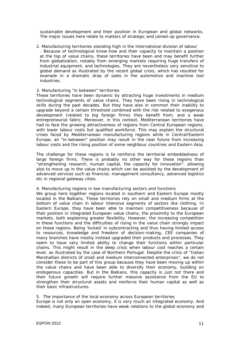sustainable development and their position in European and global networks. The major issues here relate to matters of strategic and joined-up governance.

2. *Manufacturing territories standing high in the international division of labour* - Because of technological know-how and their capacity to maintain a position at the top of value chains, these territories have been and may benefit further from globalization, notably from emerging markets requiring huge transfers of industrial equipment, and technologies. They are nevertheless very sensitive to global demand as illustrated by the recent global crisis, which has resulted for example in a dramatic drop of sales in the automotive and machine tool industries.

#### 3. *Manufacturing "in between" territories*

These territories have been dynamic by attracting huge investments in medium technological segments of value chains. They have been rising in technological skills during the past decades. But they have also in common their inability to upgrade beyond a certain threshold combined with the risk related to exogenous development (related to big foreign firms) they benefit from, and a weak entrepreneurial fabric. Moreover, in this context, Mediterranean territories have had to face the growing attractiveness of regions from Central European regions, with lower labour costs but qualified workforce. This may explain the structural crises faced by Mediterranean manufacturing regions while in Central/Eastern Europe, an "in-between" position may result in the near future from increasing labour costs and the rising position of some neighbour countries and Eastern Asia.

The challenge for these regions is to reinforce the territorial embeddedness of large foreign firms. There is probably no other way for these regions than "strengthening research, human capital, the capacity for innovation", allowing also to move up in the value chains which can be assisted by the development of advanced services such as financial, management consultancy, advanced logistics etc in regional gateway cities.

#### 4. *Manufacturing regions in low manufacturing sectors and functions*

We group here together regions located in southern and Eastern Europe mostly located in the Balkans. These territories rely on small and medium firms at the bottom of value chain in labour intensive segments of sectors like clothing. In Eastern Europe, they have been able to maintain competitiveness because of their position in integrated European value chains, the proximity to the European markets, both explaining greater flexibility. However, the increasing competition in these functions and the difficulties of rising in the value chain strongly impact on these regions. Being 'locked' in subcontracting and thus having limited access to resources, knowledge and freedom of decision-making, CEE companies of many branches have mostly instead upgraded their products and processes. They seem to have very limited ability to change their functions within particular chains. This might result in the deep crisis when labour cost reaches a certain level, as illustrated by the case of Northern Portugal. Despite the crisis of "Italian Marshallian districts of small and medium interconnected enterprises", we do not consider these to be part of this group because they have been moving up within the value chains and have been able to diversify their economy, building on endogenous capacities. But in the Balkans, this capacity is just not there and their future growth will require further massive assistance from the EU to strengthen their structural assets and reinforce their human capital as well as their basic infrastructures.

#### 5. *The importance of the local economy across European territories*

Europe is not only an open economy, it is very much an integrated economy. And indeed, many European territories have weak relations to the global economy and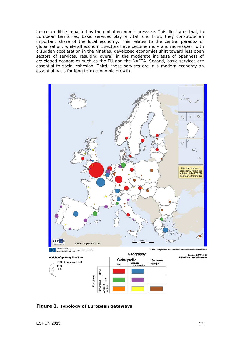hence are little impacted by the global economic pressure. This illustrates that, in European territories, basic services play a vital role. First, they constitute an important share of the local economy. This relates to the central paradox of globalization: while all economic sectors have become more and more open, with a sudden acceleration in the nineties, developed economies shift toward less open sectors of services, resulting overall in the moderate increase of openness of developed economies such as the EU and the NAFTA. Second, basic services are essential to social cohesion. Third, these services are in a modern economy an essential basis for long term economic growth.



EUKUFEAN UNIUN<br>Part-financed by the European Regional Development Fund<br>Thomstroot to your surfuse

C EuroGeographics Assoc

Source : IGEAT, 2011<br>Origin of data : own calculations.



**Figure 1. Typology of European gateways**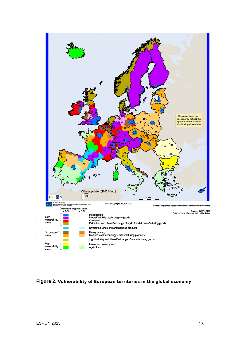

**Figure 2. Vulnerability of European territories in the global economy**